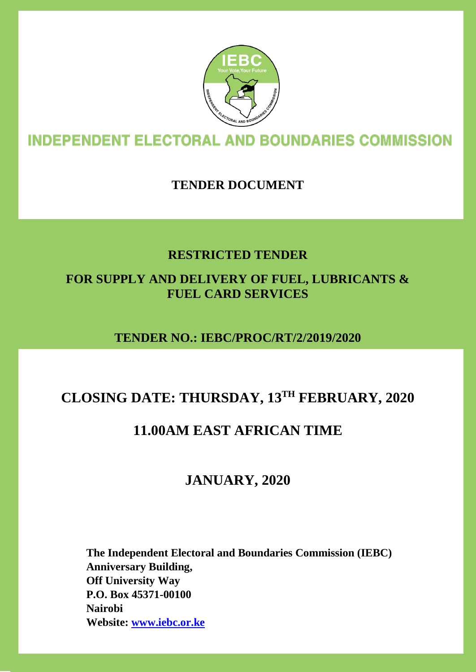

# **INDEPENDENT ELECTORAL AND BOUNDARIES COMMISSION**

# **TENDER DOCUMENT**

# **RESTRICTED TENDER**

# **FOR SUPPLY AND DELIVERY OF FUEL, LUBRICANTS & FUEL CARD SERVICES**

# **TENDER NO.: IEBC/PROC/RT/2/2019/2020**

# **CLOSING DATE: THURSDAY, 13TH FEBRUARY, 2020**

# **11.00AM EAST AFRICAN TIME**

# **JANUARY, 2020**

**The Independent Electoral and Boundaries Commission (IEBC) Anniversary Building, Off University Way P.O. Box 45371-00100 Nairobi Website: www.iebc.or.ke**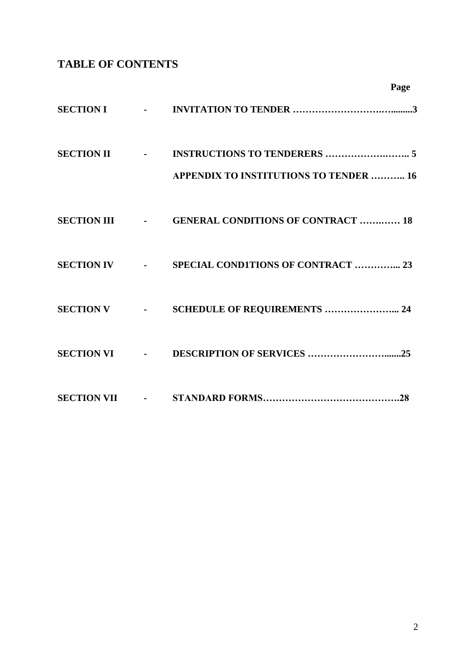# **TABLE OF CONTENTS**

|              |                                                  | Page |
|--------------|--------------------------------------------------|------|
|              |                                                  |      |
| SECTION II - | <b>APPENDIX TO INSTITUTIONS TO TENDER  16</b>    |      |
|              | SECTION III - GENERAL CONDITIONS OF CONTRACT  18 |      |
|              | SECTION IV - SPECIAL CONDITIONS OF CONTRACT  23  |      |
|              |                                                  |      |
|              |                                                  |      |
|              |                                                  |      |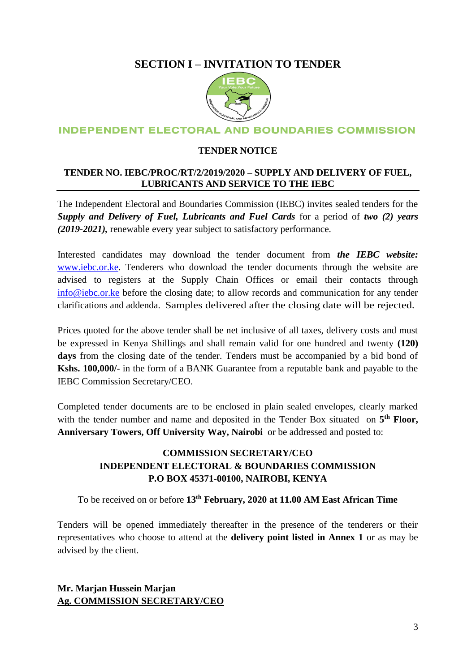# **SECTION I – INVITATION TO TENDER**



# **INDEPENDENT ELECTORAL AND BOUNDARIES COMMISSION**

### **TENDER NOTICE**

# **TENDER NO. IEBC/PROC/RT/2/2019/2020 – SUPPLY AND DELIVERY OF FUEL, LUBRICANTS AND SERVICE TO THE IEBC**

The Independent Electoral and Boundaries Commission (IEBC) invites sealed tenders for the *Supply and Delivery of Fuel, Lubricants and Fuel Cards* for a period of *two (2) years (2019-2021),* renewable every year subject to satisfactory performance.

Interested candidates may download the tender document from *the IEBC website:*  [www.iebc.or.ke.](http://www.iebc.or.ke/) Tenderers who download the tender documents through the website are advised to registers at the Supply Chain Offices or email their contacts through [info@iebc.or.ke](mailto:info@iebc.or.ke) before the closing date; to allow records and communication for any tender clarifications and addenda. Samples delivered after the closing date will be rejected.

Prices quoted for the above tender shall be net inclusive of all taxes, delivery costs and must be expressed in Kenya Shillings and shall remain valid for one hundred and twenty **(120) days** from the closing date of the tender. Tenders must be accompanied by a bid bond of **Kshs. 100,000/-** in the form of a BANK Guarantee from a reputable bank and payable to the IEBC Commission Secretary/CEO.

Completed tender documents are to be enclosed in plain sealed envelopes, clearly marked with the tender number and name and deposited in the Tender Box situated on 5<sup>th</sup> Floor, **Anniversary Towers, Off University Way, Nairobi** or be addressed and posted to:

# **COMMISSION SECRETARY/CEO INDEPENDENT ELECTORAL & BOUNDARIES COMMISSION P.O BOX 45371-00100, NAIROBI, KENYA**

To be received on or before **13th February, 2020 at 11.00 AM East African Time**

Tenders will be opened immediately thereafter in the presence of the tenderers or their representatives who choose to attend at the **delivery point listed in Annex 1** or as may be advised by the client.

# **Mr. Marjan Hussein Marjan Ag. COMMISSION SECRETARY/CEO**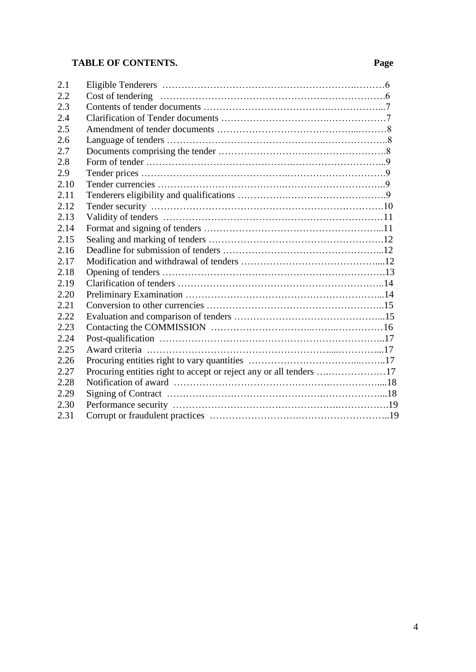# **TABLE OF CONTENTS. Page**

| 2.1  |                                                                    |  |
|------|--------------------------------------------------------------------|--|
| 2.2  |                                                                    |  |
| 2.3  |                                                                    |  |
| 2.4  |                                                                    |  |
| 2.5  |                                                                    |  |
| 2.6  |                                                                    |  |
| 2.7  |                                                                    |  |
| 2.8  |                                                                    |  |
| 2.9  |                                                                    |  |
| 2.10 |                                                                    |  |
| 2.11 |                                                                    |  |
| 2.12 |                                                                    |  |
| 2.13 |                                                                    |  |
| 2.14 |                                                                    |  |
| 2.15 |                                                                    |  |
| 2.16 |                                                                    |  |
| 2.17 |                                                                    |  |
| 2.18 |                                                                    |  |
| 2.19 |                                                                    |  |
| 2.20 |                                                                    |  |
| 2.21 |                                                                    |  |
| 2.22 |                                                                    |  |
| 2.23 |                                                                    |  |
| 2.24 |                                                                    |  |
| 2.25 |                                                                    |  |
| 2.26 |                                                                    |  |
| 2.27 | Procuring entities right to accept or reject any or all tenders 17 |  |
| 2.28 |                                                                    |  |
| 2.29 |                                                                    |  |
| 2.30 |                                                                    |  |
| 2.31 |                                                                    |  |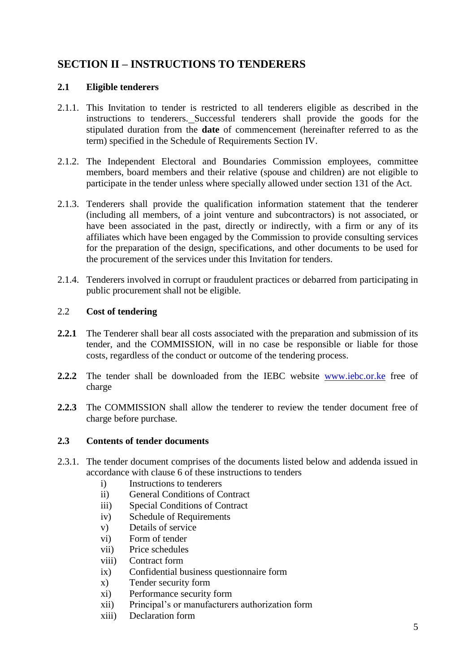# **SECTION II – INSTRUCTIONS TO TENDERERS**

### **2.1 Eligible tenderers**

- 2.1.1. This Invitation to tender is restricted to all tenderers eligible as described in the instructions to tenderers. Successful tenderers shall provide the goods for the stipulated duration from the **date** of commencement (hereinafter referred to as the term) specified in the Schedule of Requirements Section IV.
- 2.1.2. The Independent Electoral and Boundaries Commission employees, committee members, board members and their relative (spouse and children) are not eligible to participate in the tender unless where specially allowed under section 131 of the Act.
- 2.1.3. Tenderers shall provide the qualification information statement that the tenderer (including all members, of a joint venture and subcontractors) is not associated, or have been associated in the past, directly or indirectly, with a firm or any of its affiliates which have been engaged by the Commission to provide consulting services for the preparation of the design, specifications, and other documents to be used for the procurement of the services under this Invitation for tenders.
- 2.1.4. Tenderers involved in corrupt or fraudulent practices or debarred from participating in public procurement shall not be eligible.

# 2.2 **Cost of tendering**

- **2.2.1** The Tenderer shall bear all costs associated with the preparation and submission of its tender, and the COMMISSION, will in no case be responsible or liable for those costs, regardless of the conduct or outcome of the tendering process.
- **2.2.2** The tender shall be downloaded from the IEBC website [www.iebc.or.ke](http://www.iebc.or.ke/) free of charge
- **2.2.3** The COMMISSION shall allow the tenderer to review the tender document free of charge before purchase.

# **2.3 Contents of tender documents**

- 2.3.1. The tender document comprises of the documents listed below and addenda issued in accordance with clause 6 of these instructions to tenders
	- i) Instructions to tenderers
	- ii) General Conditions of Contract
	- iii) Special Conditions of Contract
	- iv) Schedule of Requirements
	- v) Details of service
	- vi) Form of tender
	- vii) Price schedules
	- viii) Contract form
	- ix) Confidential business questionnaire form
	- x) Tender security form
	- xi) Performance security form
	- xii) Principal's or manufacturers authorization form
	- xiii) Declaration form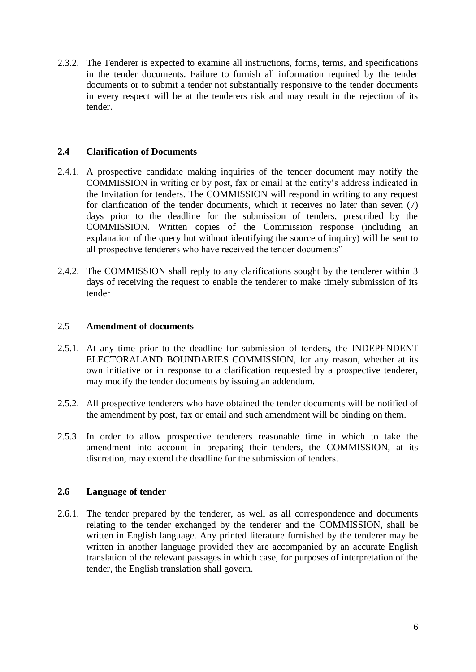2.3.2. The Tenderer is expected to examine all instructions, forms, terms, and specifications in the tender documents. Failure to furnish all information required by the tender documents or to submit a tender not substantially responsive to the tender documents in every respect will be at the tenderers risk and may result in the rejection of its tender.

# **2.4 Clarification of Documents**

- 2.4.1. A prospective candidate making inquiries of the tender document may notify the COMMISSION in writing or by post, fax or email at the entity's address indicated in the Invitation for tenders. The COMMISSION will respond in writing to any request for clarification of the tender documents, which it receives no later than seven (7) days prior to the deadline for the submission of tenders, prescribed by the COMMISSION. Written copies of the Commission response (including an explanation of the query but without identifying the source of inquiry) will be sent to all prospective tenderers who have received the tender documents"
- 2.4.2. The COMMISSION shall reply to any clarifications sought by the tenderer within 3 days of receiving the request to enable the tenderer to make timely submission of its tender

### 2.5 **Amendment of documents**

- 2.5.1. At any time prior to the deadline for submission of tenders, the INDEPENDENT ELECTORALAND BOUNDARIES COMMISSION, for any reason, whether at its own initiative or in response to a clarification requested by a prospective tenderer, may modify the tender documents by issuing an addendum.
- 2.5.2. All prospective tenderers who have obtained the tender documents will be notified of the amendment by post, fax or email and such amendment will be binding on them.
- 2.5.3. In order to allow prospective tenderers reasonable time in which to take the amendment into account in preparing their tenders, the COMMISSION, at its discretion, may extend the deadline for the submission of tenders.

# **2.6 Language of tender**

2.6.1. The tender prepared by the tenderer, as well as all correspondence and documents relating to the tender exchanged by the tenderer and the COMMISSION, shall be written in English language. Any printed literature furnished by the tenderer may be written in another language provided they are accompanied by an accurate English translation of the relevant passages in which case, for purposes of interpretation of the tender, the English translation shall govern.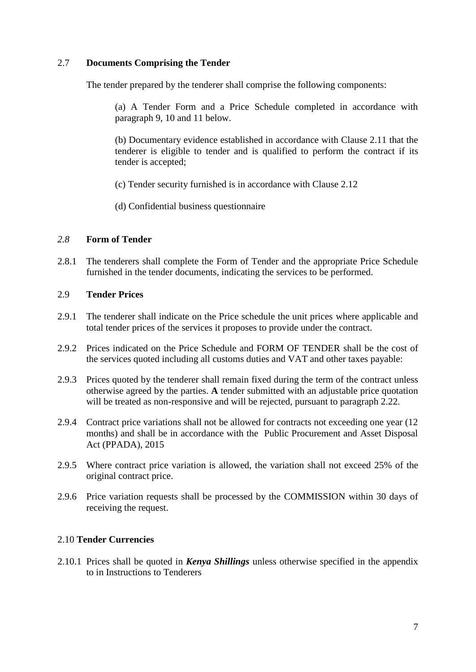# 2.7 **Documents Comprising the Tender**

The tender prepared by the tenderer shall comprise the following components:

(a) A Tender Form and a Price Schedule completed in accordance with paragraph 9, 10 and 11 below.

(b) Documentary evidence established in accordance with Clause 2.11 that the tenderer is eligible to tender and is qualified to perform the contract if its tender is accepted;

(c) Tender security furnished is in accordance with Clause 2.12

(d) Confidential business questionnaire

### *2.8* **Form of Tender**

2.8.1 The tenderers shall complete the Form of Tender and the appropriate Price Schedule furnished in the tender documents, indicating the services to be performed.

# 2.9 **Tender Prices**

- 2.9.1 The tenderer shall indicate on the Price schedule the unit prices where applicable and total tender prices of the services it proposes to provide under the contract.
- 2.9.2 Prices indicated on the Price Schedule and FORM OF TENDER shall be the cost of the services quoted including all customs duties and VAT and other taxes payable:
- 2.9.3 Prices quoted by the tenderer shall remain fixed during the term of the contract unless otherwise agreed by the parties. **A** tender submitted with an adjustable price quotation will be treated as non-responsive and will be rejected, pursuant to paragraph 2.22.
- 2.9.4 Contract price variations shall not be allowed for contracts not exceeding one year (12 months) and shall be in accordance with the Public Procurement and Asset Disposal Act (PPADA), 2015
- 2.9.5 Where contract price variation is allowed, the variation shall not exceed 25% of the original contract price.
- 2.9.6 Price variation requests shall be processed by the COMMISSION within 30 days of receiving the request.

# 2.10 **Tender Currencies**

2.10.1 Prices shall be quoted in *Kenya Shillings* unless otherwise specified in the appendix to in Instructions to Tenderers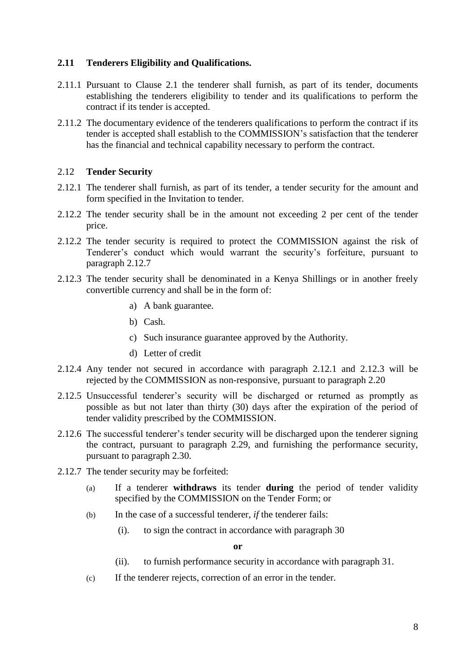### **2.11 Tenderers Eligibility and Qualifications.**

- 2.11.1 Pursuant to Clause 2.1 the tenderer shall furnish, as part of its tender, documents establishing the tenderers eligibility to tender and its qualifications to perform the contract if its tender is accepted.
- 2.11.2 The documentary evidence of the tenderers qualifications to perform the contract if its tender is accepted shall establish to the COMMISSION's satisfaction that the tenderer has the financial and technical capability necessary to perform the contract.

### 2.12 **Tender Security**

- 2.12.1 The tenderer shall furnish, as part of its tender, a tender security for the amount and form specified in the Invitation to tender.
- 2.12.2 The tender security shall be in the amount not exceeding 2 per cent of the tender price.
- 2.12.2 The tender security is required to protect the COMMISSION against the risk of Tenderer's conduct which would warrant the security's forfeiture, pursuant to paragraph 2.12.7
- 2.12.3 The tender security shall be denominated in a Kenya Shillings or in another freely convertible currency and shall be in the form of:
	- a) A bank guarantee.
	- b) Cash.
	- c) Such insurance guarantee approved by the Authority.
	- d) Letter of credit
- 2.12.4 Any tender not secured in accordance with paragraph 2.12.1 and 2.12.3 will be rejected by the COMMISSION as non-responsive, pursuant to paragraph 2.20
- 2.12.5 Unsuccessful tenderer's security will be discharged or returned as promptly as possible as but not later than thirty (30) days after the expiration of the period of tender validity prescribed by the COMMISSION.
- 2.12.6 The successful tenderer's tender security will be discharged upon the tenderer signing the contract, pursuant to paragraph 2.29, and furnishing the performance security, pursuant to paragraph 2.30.
- 2.12.7 The tender security may be forfeited:
	- (a) If a tenderer **withdraws** its tender **during** the period of tender validity specified by the COMMISSION on the Tender Form; or
	- (b) In the case of a successful tenderer, *if* the tenderer fails:
		- (i). to sign the contract in accordance with paragraph 30

**or**

- (ii). to furnish performance security in accordance with paragraph 31.
- (c) If the tenderer rejects, correction of an error in the tender.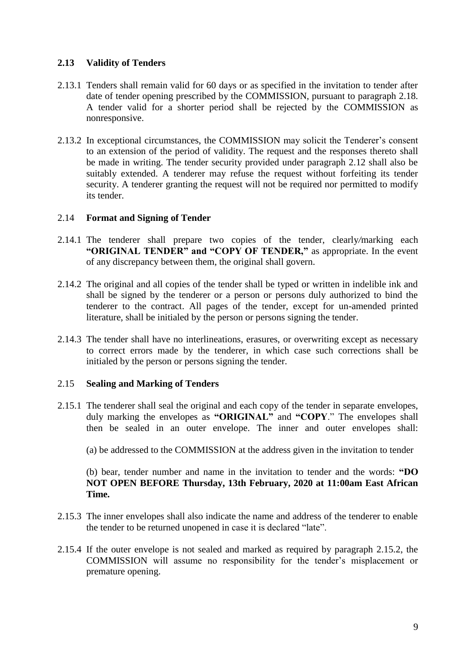# **2.13 Validity of Tenders**

- 2.13.1 Tenders shall remain valid for 60 days or as specified in the invitation to tender after date of tender opening prescribed by the COMMISSION, pursuant to paragraph 2.18. A tender valid for a shorter period shall be rejected by the COMMISSION as nonresponsive.
- 2.13.2 In exceptional circumstances, the COMMISSION may solicit the Tenderer's consent to an extension of the period of validity. The request and the responses thereto shall be made in writing. The tender security provided under paragraph 2.12 shall also be suitably extended. A tenderer may refuse the request without forfeiting its tender security. A tenderer granting the request will not be required nor permitted to modify its tender.

### 2.14 **Format and Signing of Tender**

- 2.14.1 The tenderer shall prepare two copies of the tender, clearly*/*marking each **"ORIGINAL TENDER" and "COPY OF TENDER,"** as appropriate. In the event of any discrepancy between them, the original shall govern.
- 2.14.2 The original and all copies of the tender shall be typed or written in indelible ink and shall be signed by the tenderer or a person or persons duly authorized to bind the tenderer to the contract. All pages of the tender, except for un-amended printed literature, shall be initialed by the person or persons signing the tender.
- 2.14.3 The tender shall have no interlineations, erasures, or overwriting except as necessary to correct errors made by the tenderer, in which case such corrections shall be initialed by the person or persons signing the tender.

# 2.15 **Sealing and Marking of Tenders**

- 2.15.1 The tenderer shall seal the original and each copy of the tender in separate envelopes, duly marking the envelopes as **"ORIGINAL"** and **"COPY**." The envelopes shall then be sealed in an outer envelope. The inner and outer envelopes shall:
	- (a) be addressed to the COMMISSION at the address given in the invitation to tender

# (b) bear, tender number and name in the invitation to tender and the words: **"DO NOT OPEN BEFORE Thursday, 13th February, 2020 at 11:00am East African Time.**

- 2.15.3 The inner envelopes shall also indicate the name and address of the tenderer to enable the tender to be returned unopened in case it is declared "late".
- 2.15.4 If the outer envelope is not sealed and marked as required by paragraph 2.15.2, the COMMISSION will assume no responsibility for the tender's misplacement or premature opening.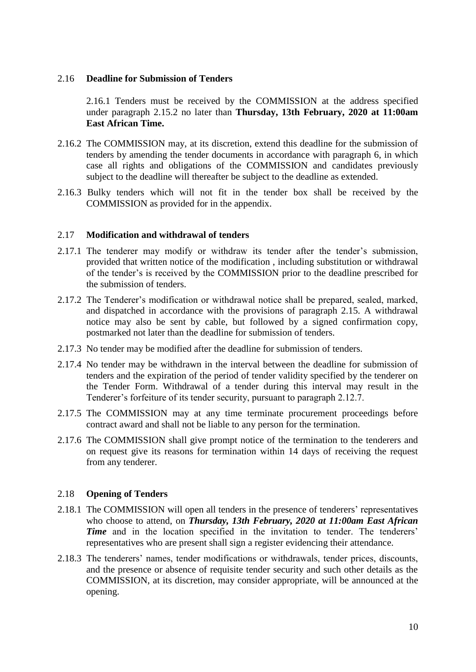### 2.16 **Deadline for Submission of Tenders**

2.16.1 Tenders must be received by the COMMISSION at the address specified under paragraph 2.15.2 no later than **Thursday, 13th February, 2020 at 11:00am East African Time.** 

- 2.16.2 The COMMISSION may, at its discretion, extend this deadline for the submission of tenders by amending the tender documents in accordance with paragraph 6, in which case all rights and obligations of the COMMISSION and candidates previously subject to the deadline will thereafter be subject to the deadline as extended.
- 2.16.3 Bulky tenders which will not fit in the tender box shall be received by the COMMISSION as provided for in the appendix.

#### 2.17 **Modification and withdrawal of tenders**

- 2.17.1 The tenderer may modify or withdraw its tender after the tender's submission, provided that written notice of the modification , including substitution or withdrawal of the tender's is received by the COMMISSION prior to the deadline prescribed for the submission of tenders.
- 2.17.2 The Tenderer's modification or withdrawal notice shall be prepared, sealed, marked, and dispatched in accordance with the provisions of paragraph 2.15. A withdrawal notice may also be sent by cable, but followed by a signed confirmation copy, postmarked not later than the deadline for submission of tenders.
- 2.17.3 No tender may be modified after the deadline for submission of tenders.
- 2.17.4 No tender may be withdrawn in the interval between the deadline for submission of tenders and the expiration of the period of tender validity specified by the tenderer on the Tender Form. Withdrawal of a tender during this interval may result in the Tenderer's forfeiture of its tender security, pursuant to paragraph 2.12.7.
- 2.17.5 The COMMISSION may at any time terminate procurement proceedings before contract award and shall not be liable to any person for the termination.
- 2.17.6 The COMMISSION shall give prompt notice of the termination to the tenderers and on request give its reasons for termination within 14 days of receiving the request from any tenderer.

# 2.18 **Opening of Tenders**

- 2.18.1 The COMMISSION will open all tenders in the presence of tenderers' representatives who choose to attend, on *Thursday, 13th February, 2020 at 11:00am East African Time* and in the location specified in the invitation to tender. The tenderers' representatives who are present shall sign a register evidencing their attendance.
- 2.18.3 The tenderers' names, tender modifications or withdrawals, tender prices, discounts, and the presence or absence of requisite tender security and such other details as the COMMISSION, at its discretion, may consider appropriate, will be announced at the opening.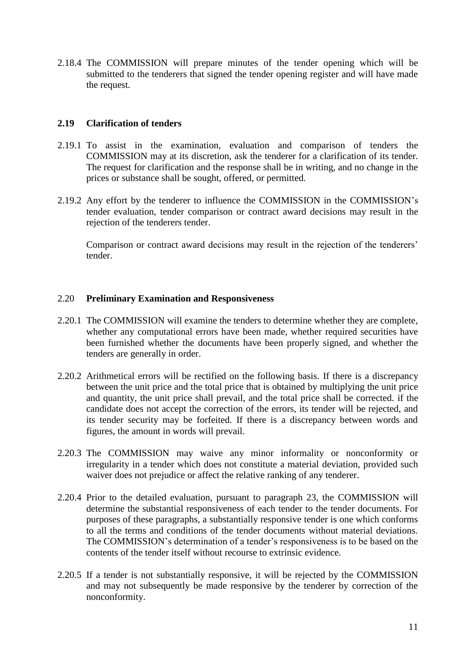2.18.4 The COMMISSION will prepare minutes of the tender opening which will be submitted to the tenderers that signed the tender opening register and will have made the request.

### **2.19 Clarification of tenders**

- 2.19.1 To assist in the examination, evaluation and comparison of tenders the COMMISSION may at its discretion, ask the tenderer for a clarification of its tender. The request for clarification and the response shall be in writing, and no change in the prices or substance shall be sought, offered, or permitted.
- 2.19.2 Any effort by the tenderer to influence the COMMISSION in the COMMISSION's tender evaluation, tender comparison or contract award decisions may result in the rejection of the tenderers tender.

Comparison or contract award decisions may result in the rejection of the tenderers' tender.

### 2.20 **Preliminary Examination and Responsiveness**

- 2.20.1 The COMMISSION will examine the tenders to determine whether they are complete, whether any computational errors have been made, whether required securities have been furnished whether the documents have been properly signed, and whether the tenders are generally in order.
- 2.20.2 Arithmetical errors will be rectified on the following basis. If there is a discrepancy between the unit price and the total price that is obtained by multiplying the unit price and quantity, the unit price shall prevail, and the total price shall be corrected. if the candidate does not accept the correction of the errors, its tender will be rejected, and its tender security may be forfeited. If there is a discrepancy between words and figures, the amount in words will prevail.
- 2.20.3 The COMMISSION may waive any minor informality or nonconformity or irregularity in a tender which does not constitute a material deviation, provided such waiver does not prejudice or affect the relative ranking of any tenderer.
- 2.20.4 Prior to the detailed evaluation, pursuant to paragraph 23, the COMMISSION will determine the substantial responsiveness of each tender to the tender documents. For purposes of these paragraphs, a substantially responsive tender is one which conforms to all the terms and conditions of the tender documents without material deviations. The COMMISSION's determination of a tender's responsiveness is to be based on the contents of the tender itself without recourse to extrinsic evidence.
- 2.20.5 If a tender is not substantially responsive, it will be rejected by the COMMISSION and may not subsequently be made responsive by the tenderer by correction of the nonconformity.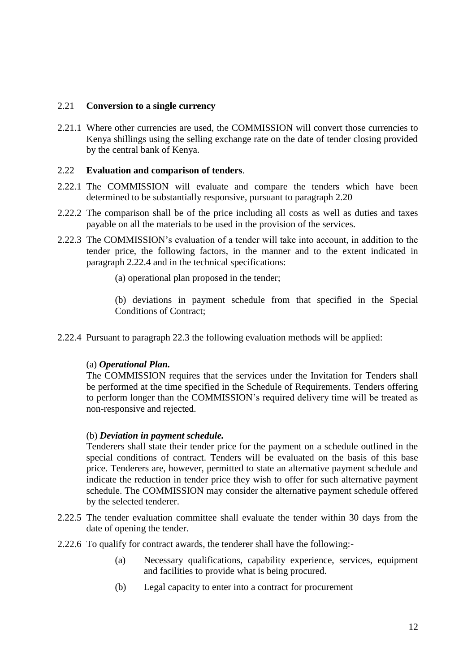### 2.21 **Conversion to a single currency**

2.21.1 Where other currencies are used, the COMMISSION will convert those currencies to Kenya shillings using the selling exchange rate on the date of tender closing provided by the central bank of Kenya.

### 2.22 **Evaluation and comparison of tenders**.

- 2.22.1 The COMMISSION will evaluate and compare the tenders which have been determined to be substantially responsive, pursuant to paragraph 2.20
- 2.22.2 The comparison shall be of the price including all costs as well as duties and taxes payable on all the materials to be used in the provision of the services.
- 2.22.3 The COMMISSION's evaluation of a tender will take into account, in addition to the tender price, the following factors, in the manner and to the extent indicated in paragraph 2.22.4 and in the technical specifications:
	- (a) operational plan proposed in the tender;

(b) deviations in payment schedule from that specified in the Special Conditions of Contract;

2.22.4 Pursuant to paragraph 22.3 the following evaluation methods will be applied:

#### (a) *Operational Plan.*

The COMMISSION requires that the services under the Invitation for Tenders shall be performed at the time specified in the Schedule of Requirements. Tenders offering to perform longer than the COMMISSION's required delivery time will be treated as non-responsive and rejected.

#### (b) *Deviation in payment schedule.*

Tenderers shall state their tender price for the payment on a schedule outlined in the special conditions of contract. Tenders will be evaluated on the basis of this base price. Tenderers are, however, permitted to state an alternative payment schedule and indicate the reduction in tender price they wish to offer for such alternative payment schedule. The COMMISSION may consider the alternative payment schedule offered by the selected tenderer.

- 2.22.5 The tender evaluation committee shall evaluate the tender within 30 days from the date of opening the tender.
- 2.22.6 To qualify for contract awards, the tenderer shall have the following:-
	- (a) Necessary qualifications, capability experience, services, equipment and facilities to provide what is being procured.
	- (b) Legal capacity to enter into a contract for procurement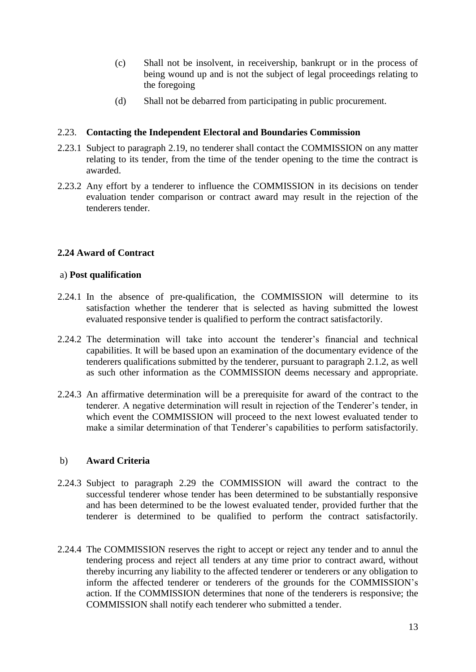- (c) Shall not be insolvent, in receivership, bankrupt or in the process of being wound up and is not the subject of legal proceedings relating to the foregoing
- (d) Shall not be debarred from participating in public procurement.

### 2.23. **Contacting the Independent Electoral and Boundaries Commission**

- 2.23.1 Subject to paragraph 2.19, no tenderer shall contact the COMMISSION on any matter relating to its tender, from the time of the tender opening to the time the contract is awarded.
- 2.23.2 Any effort by a tenderer to influence the COMMISSION in its decisions on tender evaluation tender comparison or contract award may result in the rejection of the tenderers tender.

# **2.24 Award of Contract**

#### a) **Post qualification**

- 2.24.1 In the absence of pre-qualification, the COMMISSION will determine to its satisfaction whether the tenderer that is selected as having submitted the lowest evaluated responsive tender is qualified to perform the contract satisfactorily.
- 2.24.2 The determination will take into account the tenderer's financial and technical capabilities. It will be based upon an examination of the documentary evidence of the tenderers qualifications submitted by the tenderer, pursuant to paragraph 2.1.2, as well as such other information as the COMMISSION deems necessary and appropriate.
- 2.24.3 An affirmative determination will be a prerequisite for award of the contract to the tenderer. A negative determination will result in rejection of the Tenderer's tender, in which event the COMMISSION will proceed to the next lowest evaluated tender to make a similar determination of that Tenderer's capabilities to perform satisfactorily.

# b) **Award Criteria**

- 2.24.3 Subject to paragraph 2.29 the COMMISSION will award the contract to the successful tenderer whose tender has been determined to be substantially responsive and has been determined to be the lowest evaluated tender, provided further that the tenderer is determined to be qualified to perform the contract satisfactorily.
- 2.24.4 The COMMISSION reserves the right to accept or reject any tender and to annul the tendering process and reject all tenders at any time prior to contract award, without thereby incurring any liability to the affected tenderer or tenderers or any obligation to inform the affected tenderer or tenderers of the grounds for the COMMISSION's action. If the COMMISSION determines that none of the tenderers is responsive; the COMMISSION shall notify each tenderer who submitted a tender.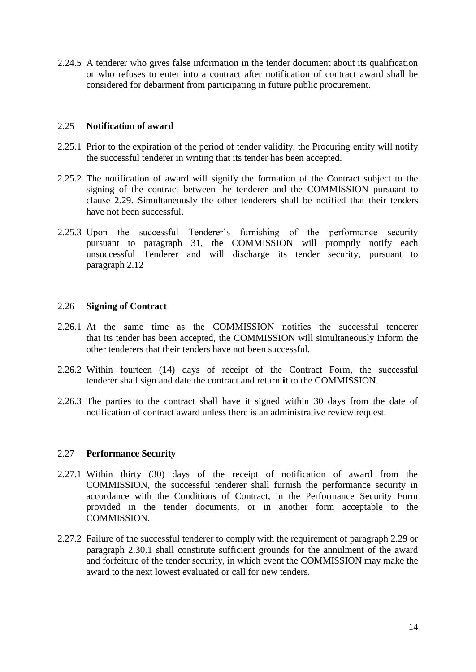2.24.5 A tenderer who gives false information in the tender document about its qualification or who refuses to enter into a contract after notification of contract award shall be considered for debarment from participating in future public procurement.

### 2.25 **Notification of award**

- 2.25.1 Prior to the expiration of the period of tender validity, the Procuring entity will notify the successful tenderer in writing that its tender has been accepted.
- 2.25.2 The notification of award will signify the formation of the Contract subject to the signing of the contract between the tenderer and the COMMISSION pursuant to clause 2.29. Simultaneously the other tenderers shall be notified that their tenders have not been successful.
- 2.25.3 Upon the successful Tenderer's furnishing of the performance security pursuant to paragraph 31, the COMMISSION will promptly notify each unsuccessful Tenderer and will discharge its tender security, pursuant to paragraph 2.12

### 2.26 **Signing of Contract**

- 2.26.1 At the same time as the COMMISSION notifies the successful tenderer that its tender has been accepted, the COMMISSION will simultaneously inform the other tenderers that their tenders have not been successful.
- 2.26.2 Within fourteen (14) days of receipt of the Contract Form, the successful tenderer shall sign and date the contract and return **it** to the COMMISSION.
- 2.26.3 The parties to the contract shall have it signed within 30 days from the date of notification of contract award unless there is an administrative review request.

#### 2.27 **Performance Security**

- 2.27.1 Within thirty (30) days of the receipt of notification of award from the COMMISSION, the successful tenderer shall furnish the performance security in accordance with the Conditions of Contract, in the Performance Security Form provided in the tender documents, or in another form acceptable to the COMMISSION.
- 2.27.2 Failure of the successful tenderer to comply with the requirement of paragraph 2.29 or paragraph 2.30.1 shall constitute sufficient grounds for the annulment of the award and forfeiture of the tender security, in which event the COMMISSION may make the award to the next lowest evaluated or call for new tenders.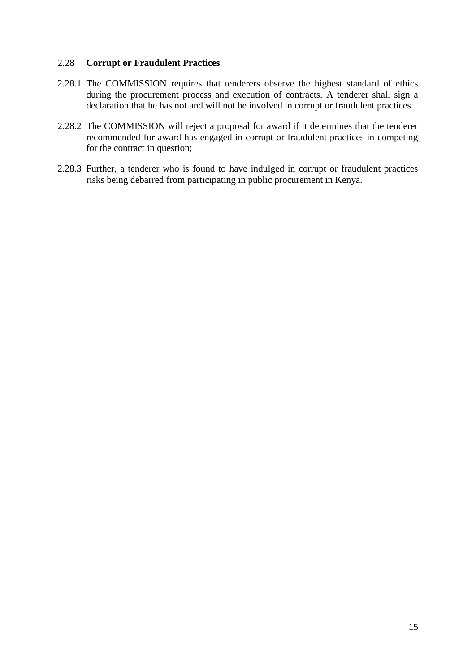### 2.28 **Corrupt or Fraudulent Practices**

- 2.28.1 The COMMISSION requires that tenderers observe the highest standard of ethics during the procurement process and execution of contracts. A tenderer shall sign a declaration that he has not and will not be involved in corrupt or fraudulent practices.
- 2.28.2 The COMMISSION will reject a proposal for award if it determines that the tenderer recommended for award has engaged in corrupt or fraudulent practices in competing for the contract in question;
- 2.28.3 Further, a tenderer who is found to have indulged in corrupt or fraudulent practices risks being debarred from participating in public procurement in Kenya.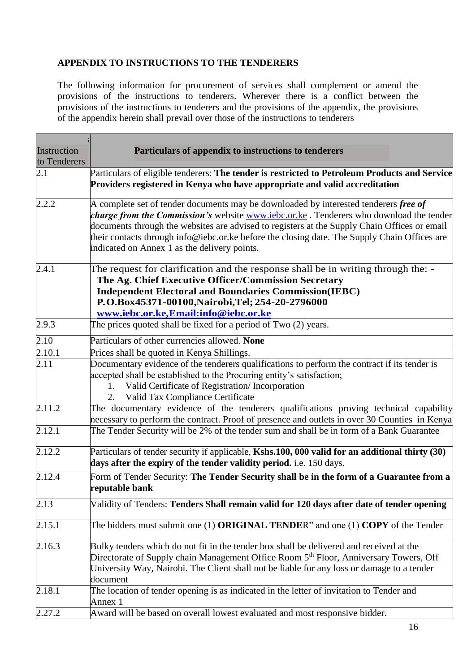# **APPENDIX TO INSTRUCTIONS TO THE TENDERERS**

The following information for procurement of services shall complement or amend the provisions of the instructions to tenderers. Wherever there is a conflict between the provisions of the instructions to tenderers and the provisions of the appendix, the provisions of the appendix herein shall prevail over those of the instructions to tenderers

| Instruction  | Particulars of appendix to instructions to tenderers                                                                                                                                                                                                                                                                                                                                                                                                 |
|--------------|------------------------------------------------------------------------------------------------------------------------------------------------------------------------------------------------------------------------------------------------------------------------------------------------------------------------------------------------------------------------------------------------------------------------------------------------------|
| to Tenderers |                                                                                                                                                                                                                                                                                                                                                                                                                                                      |
| 2.1          | Particulars of eligible tenderers: The tender is restricted to Petroleum Products and Service<br>Providers registered in Kenya who have appropriate and valid accreditation                                                                                                                                                                                                                                                                          |
| 2.2.2        | A complete set of tender documents may be downloaded by interested tenderers <i>free of</i><br><i>charge from the Commission's</i> website <b>WWW.iebc.or.ke</b> . Tenderers who download the tender<br>documents through the websites are advised to registers at the Supply Chain Offices or email<br>their contacts through info@iebc.or.ke before the closing date. The Supply Chain Offices are<br>indicated on Annex 1 as the delivery points. |
| 2.4.1        | The request for clarification and the response shall be in writing through the: -<br>The Ag. Chief Executive Officer/Commission Secretary<br><b>Independent Electoral and Boundaries Commission(IEBC)</b><br>P.O.Box45371-00100, Nairobi, Tel; 254-20-2796000<br>www.iebc.or.ke,Email:info@iebc.or.ke                                                                                                                                                |
| 2.9.3        | The prices quoted shall be fixed for a period of Two (2) years.                                                                                                                                                                                                                                                                                                                                                                                      |
| 2.10         | Particulars of other currencies allowed. None                                                                                                                                                                                                                                                                                                                                                                                                        |
| 2.10.1       | Prices shall be quoted in Kenya Shillings.                                                                                                                                                                                                                                                                                                                                                                                                           |
| 2.11         | Documentary evidence of the tenderers qualifications to perform the contract if its tender is<br>accepted shall be established to the Procuring entity's satisfaction;<br>Valid Certificate of Registration/ Incorporation<br>1.<br>Valid Tax Compliance Certificate<br>2.                                                                                                                                                                           |
| 2.11.2       | The documentary evidence of the tenderers qualifications proving technical capability<br>necessary to perform the contract. Proof of presence and outlets in over 30 Counties in Kenya                                                                                                                                                                                                                                                               |
| 2.12.1       | The Tender Security will be 2% of the tender sum and shall be in form of a Bank Guarantee                                                                                                                                                                                                                                                                                                                                                            |
| 2.12.2       | Particulars of tender security if applicable, Kshs.100, 000 valid for an additional thirty (30)<br>days after the expiry of the tender validity period. i.e. 150 days.                                                                                                                                                                                                                                                                               |
| 2.12.4       | Form of Tender Security: The Tender Security shall be in the form of a Guarantee from a<br>reputable bank                                                                                                                                                                                                                                                                                                                                            |
| 2.13         | Validity of Tenders: Tenders Shall remain valid for 120 days after date of tender opening                                                                                                                                                                                                                                                                                                                                                            |
| 2.15.1       | The bidders must submit one (1) ORIGINAL TENDER" and one (1) COPY of the Tender                                                                                                                                                                                                                                                                                                                                                                      |
| 2.16.3       | Bulky tenders which do not fit in the tender box shall be delivered and received at the<br>Directorate of Supply chain Management Office Room 5 <sup>th</sup> Floor, Anniversary Towers, Off<br>University Way, Nairobi. The Client shall not be liable for any loss or damage to a tender<br>document                                                                                                                                               |
| 2.18.1       | The location of tender opening is as indicated in the letter of invitation to Tender and<br>Annex 1                                                                                                                                                                                                                                                                                                                                                  |
| 2.27.2       | Award will be based on overall lowest evaluated and most responsive bidder.                                                                                                                                                                                                                                                                                                                                                                          |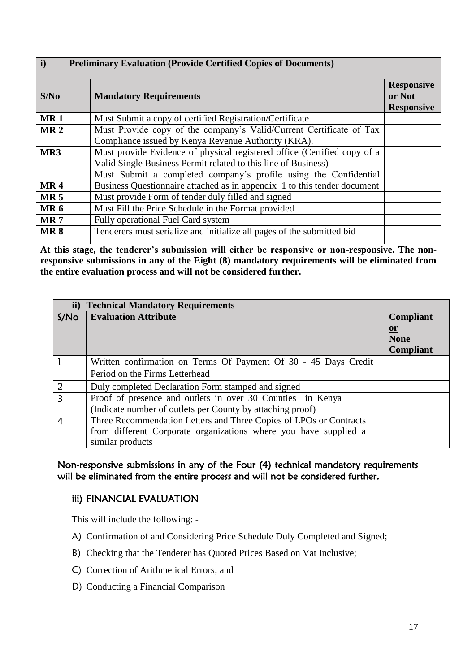| $\mathbf{i}$<br><b>Preliminary Evaluation (Provide Certified Copies of Documents)</b> |                                                                                                                                              |                                                  |
|---------------------------------------------------------------------------------------|----------------------------------------------------------------------------------------------------------------------------------------------|--------------------------------------------------|
| S/No                                                                                  | <b>Mandatory Requirements</b>                                                                                                                | <b>Responsive</b><br>or Not<br><b>Responsive</b> |
| <b>MR1</b>                                                                            | Must Submit a copy of certified Registration/Certificate                                                                                     |                                                  |
| MR <sub>2</sub>                                                                       | Must Provide copy of the company's Valid/Current Certificate of Tax<br>Compliance issued by Kenya Revenue Authority (KRA).                   |                                                  |
| MR3                                                                                   | Must provide Evidence of physical registered office (Certified copy of a<br>Valid Single Business Permit related to this line of Business)   |                                                  |
| <b>MR4</b>                                                                            | Must Submit a completed company's profile using the Confidential<br>Business Questionnaire attached as in appendix 1 to this tender document |                                                  |
| MR <sub>5</sub>                                                                       | Must provide Form of tender duly filled and signed                                                                                           |                                                  |
| <b>MR6</b>                                                                            | Must Fill the Price Schedule in the Format provided                                                                                          |                                                  |
| <b>MR7</b>                                                                            | Fully operational Fuel Card system                                                                                                           |                                                  |
| <b>MR8</b>                                                                            | Tenderers must serialize and initialize all pages of the submitted bid                                                                       |                                                  |
|                                                                                       | At this stage, the tenderer's submission will either be responsive or non-responsive. The non-                                               |                                                  |
|                                                                                       | recognized or building in our of the Fight (0) mondatory requirements will be eliminated from                                                |                                                  |

**responsive submissions in any of the Eight (8) mandatory requirements will be eliminated from the entire evaluation process and will not be considered further.**

|                  | ii) Technical Mandatory Requirements                               |                  |
|------------------|--------------------------------------------------------------------|------------------|
| S/N <sub>O</sub> | <b>Evaluation Attribute</b>                                        | <b>Compliant</b> |
|                  |                                                                    | $or$             |
|                  |                                                                    | <b>None</b>      |
|                  |                                                                    | <b>Compliant</b> |
|                  | Written confirmation on Terms Of Payment Of 30 - 45 Days Credit    |                  |
|                  | Period on the Firms Letterhead                                     |                  |
| $\overline{2}$   | Duly completed Declaration Form stamped and signed                 |                  |
| 3                | Proof of presence and outlets in over 30 Counties in Kenya         |                  |
|                  | (Indicate number of outlets per County by attaching proof)         |                  |
| 4                | Three Recommendation Letters and Three Copies of LPOs or Contracts |                  |
|                  | from different Corporate organizations where you have supplied a   |                  |
|                  | similar products                                                   |                  |

Non-responsive submissions in any of the Four (4) technical mandatory requirements will be eliminated from the entire process and will not be considered further.

# iii) FINANCIAL EVALUATION

This will include the following: -

- A) Confirmation of and Considering Price Schedule Duly Completed and Signed;
- B) Checking that the Tenderer has Quoted Prices Based on Vat Inclusive;
- C) Correction of Arithmetical Errors; and
- D) Conducting a Financial Comparison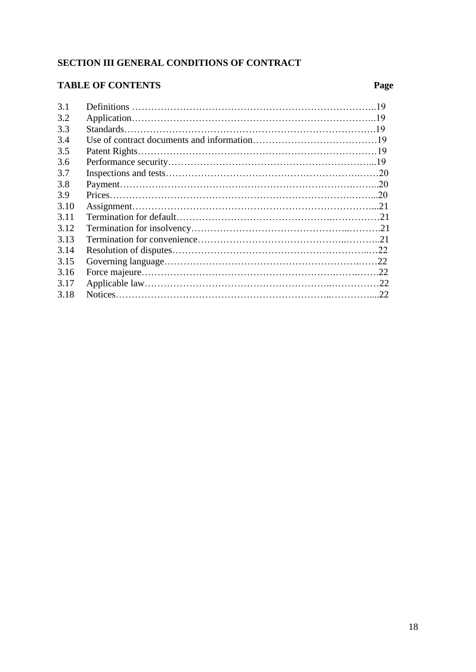# **SECTION III GENERAL CONDITIONS OF CONTRACT**

# **TABLE OF CONTENTS Page**

| 3.1  |  |
|------|--|
| 3.2  |  |
| 3.3  |  |
| 3.4  |  |
| 3.5  |  |
| 3.6  |  |
| 3.7  |  |
| 3.8  |  |
| 3.9  |  |
| 3.10 |  |
| 3.11 |  |
| 3.12 |  |
| 3.13 |  |
| 3.14 |  |
| 3.15 |  |
| 3.16 |  |
| 3.17 |  |
| 3.18 |  |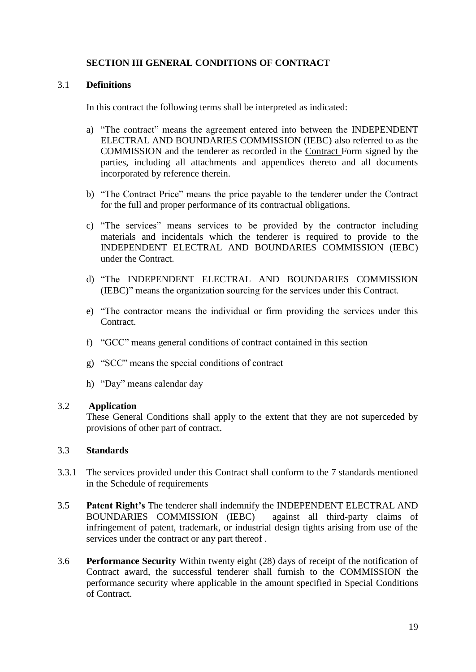# **SECTION III GENERAL CONDITIONS OF CONTRACT**

# 3.1 **Definitions**

In this contract the following terms shall be interpreted as indicated:

- a) "The contract" means the agreement entered into between the INDEPENDENT ELECTRAL AND BOUNDARIES COMMISSION (IEBC) also referred to as the COMMISSION and the tenderer as recorded in the Contract Form signed by the parties, including all attachments and appendices thereto and all documents incorporated by reference therein.
- b) "The Contract Price" means the price payable to the tenderer under the Contract for the full and proper performance of its contractual obligations.
- c) "The services" means services to be provided by the contractor including materials and incidentals which the tenderer is required to provide to the INDEPENDENT ELECTRAL AND BOUNDARIES COMMISSION (IEBC) under the Contract.
- d) "The INDEPENDENT ELECTRAL AND BOUNDARIES COMMISSION (IEBC)" means the organization sourcing for the services under this Contract.
- e) "The contractor means the individual or firm providing the services under this Contract.
- f) "GCC" means general conditions of contract contained in this section
- g) "SCC" means the special conditions of contract
- h) "Day" means calendar day

#### 3.2 **Application**

These General Conditions shall apply to the extent that they are not superceded by provisions of other part of contract.

# 3.3 **Standards**

- 3.3.1 The services provided under this Contract shall conform to the 7 standards mentioned in the Schedule of requirements
- 3.5 **Patent Right's** The tenderer shall indemnify the INDEPENDENT ELECTRAL AND BOUNDARIES COMMISSION (IEBC) against all third-party claims of infringement of patent, trademark, or industrial design tights arising from use of the services under the contract or any part thereof .
- 3.6 **Performance Security** Within twenty eight (28) days of receipt of the notification of Contract award, the successful tenderer shall furnish to the COMMISSION the performance security where applicable in the amount specified in Special Conditions of Contract.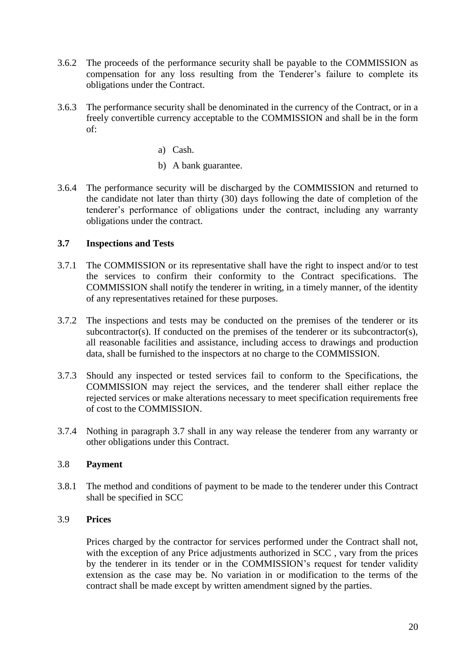- 3.6.2 The proceeds of the performance security shall be payable to the COMMISSION as compensation for any loss resulting from the Tenderer's failure to complete its obligations under the Contract.
- 3.6.3 The performance security shall be denominated in the currency of the Contract, or in a freely convertible currency acceptable to the COMMISSION and shall be in the form of:
	- a) Cash.
	- b) A bank guarantee.
- 3.6.4 The performance security will be discharged by the COMMISSION and returned to the candidate not later than thirty (30) days following the date of completion of the tenderer's performance of obligations under the contract, including any warranty obligations under the contract.

# **3.7 Inspections and Tests**

- 3.7.1 The COMMISSION or its representative shall have the right to inspect and/or to test the services to confirm their conformity to the Contract specifications. The COMMISSION shall notify the tenderer in writing, in a timely manner, of the identity of any representatives retained for these purposes.
- 3.7.2 The inspections and tests may be conducted on the premises of the tenderer or its subcontractor(s). If conducted on the premises of the tenderer or its subcontractor(s), all reasonable facilities and assistance, including access to drawings and production data, shall be furnished to the inspectors at no charge to the COMMISSION.
- 3.7.3 Should any inspected or tested services fail to conform to the Specifications, the COMMISSION may reject the services, and the tenderer shall either replace the rejected services or make alterations necessary to meet specification requirements free of cost to the COMMISSION.
- 3.7.4 Nothing in paragraph 3.7 shall in any way release the tenderer from any warranty or other obligations under this Contract.

# 3.8 **Payment**

3.8.1 The method and conditions of payment to be made to the tenderer under this Contract shall be specified in SCC

# 3.9 **Prices**

Prices charged by the contractor for services performed under the Contract shall not, with the exception of any Price adjustments authorized in SCC , vary from the prices by the tenderer in its tender or in the COMMISSION's request for tender validity extension as the case may be. No variation in or modification to the terms of the contract shall be made except by written amendment signed by the parties.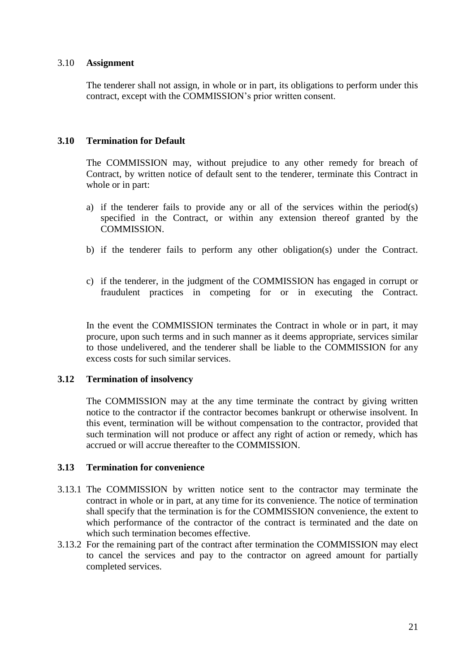### 3.10 **Assignment**

The tenderer shall not assign, in whole or in part, its obligations to perform under this contract, except with the COMMISSION's prior written consent.

### **3.10 Termination for Default**

The COMMISSION may, without prejudice to any other remedy for breach of Contract, by written notice of default sent to the tenderer, terminate this Contract in whole or in part:

- a) if the tenderer fails to provide any or all of the services within the period(s) specified in the Contract, or within any extension thereof granted by the COMMISSION.
- b) if the tenderer fails to perform any other obligation(s) under the Contract.
- c) if the tenderer, in the judgment of the COMMISSION has engaged in corrupt or fraudulent practices in competing for or in executing the Contract.

In the event the COMMISSION terminates the Contract in whole or in part, it may procure, upon such terms and in such manner as it deems appropriate, services similar to those undelivered, and the tenderer shall be liable to the COMMISSION for any excess costs for such similar services.

#### **3.12 Termination of insolvency**

The COMMISSION may at the any time terminate the contract by giving written notice to the contractor if the contractor becomes bankrupt or otherwise insolvent. In this event, termination will be without compensation to the contractor, provided that such termination will not produce or affect any right of action or remedy, which has accrued or will accrue thereafter to the COMMISSION.

#### **3.13 Termination for convenience**

- 3.13.1 The COMMISSION by written notice sent to the contractor may terminate the contract in whole or in part, at any time for its convenience. The notice of termination shall specify that the termination is for the COMMISSION convenience, the extent to which performance of the contractor of the contract is terminated and the date on which such termination becomes effective.
- 3.13.2 For the remaining part of the contract after termination the COMMISSION may elect to cancel the services and pay to the contractor on agreed amount for partially completed services.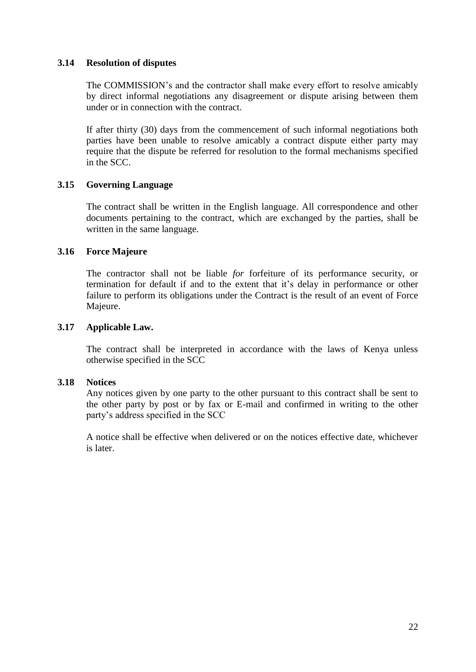### **3.14 Resolution of disputes**

The COMMISSION's and the contractor shall make every effort to resolve amicably by direct informal negotiations any disagreement or dispute arising between them under or in connection with the contract.

If after thirty (30) days from the commencement of such informal negotiations both parties have been unable to resolve amicably a contract dispute either party may require that the dispute be referred for resolution to the formal mechanisms specified in the SCC.

# **3.15 Governing Language**

The contract shall be written in the English language. All correspondence and other documents pertaining to the contract, which are exchanged by the parties, shall be written in the same language.

### **3.16 Force Majeure**

The contractor shall not be liable *for* forfeiture of its performance security, or termination for default if and to the extent that it's delay in performance or other failure to perform its obligations under the Contract is the result of an event of Force Majeure.

### **3.17 Applicable Law.**

The contract shall be interpreted in accordance with the laws of Kenya unless otherwise specified in the SCC

#### **3.18 Notices**

Any notices given by one party to the other pursuant to this contract shall be sent to the other party by post or by fax or E-mail and confirmed in writing to the other party's address specified in the SCC

A notice shall be effective when delivered or on the notices effective date, whichever is later.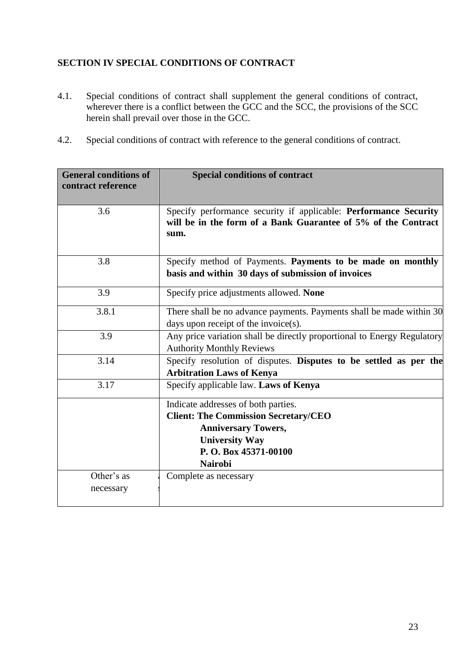# **SECTION IV SPECIAL CONDITIONS OF CONTRACT**

- 4.1. Special conditions of contract shall supplement the general conditions of contract, wherever there is a conflict between the GCC and the SCC, the provisions of the SCC herein shall prevail over those in the GCC.
- 4.2. Special conditions of contract with reference to the general conditions of contract.

| <b>General conditions of</b><br>contract reference | <b>Special conditions of contract</b>                                                                                                                                               |  |
|----------------------------------------------------|-------------------------------------------------------------------------------------------------------------------------------------------------------------------------------------|--|
| 3.6                                                | Specify performance security if applicable: Performance Security<br>will be in the form of a Bank Guarantee of 5% of the Contract<br>sum.                                           |  |
| 3.8                                                | Specify method of Payments. Payments to be made on monthly<br>basis and within 30 days of submission of invoices                                                                    |  |
| 3.9                                                | Specify price adjustments allowed. None                                                                                                                                             |  |
| 3.8.1                                              | There shall be no advance payments. Payments shall be made within 30<br>days upon receipt of the invoice(s).                                                                        |  |
| 3.9                                                | Any price variation shall be directly proportional to Energy Regulatory<br><b>Authority Monthly Reviews</b>                                                                         |  |
| 3.14                                               | Specify resolution of disputes. Disputes to be settled as per the<br><b>Arbitration Laws of Kenya</b>                                                                               |  |
| 3.17                                               | Specify applicable law. Laws of Kenya                                                                                                                                               |  |
|                                                    | Indicate addresses of both parties.<br><b>Client: The Commission Secretary/CEO</b><br><b>Anniversary Towers,</b><br><b>University Way</b><br>P.O. Box 45371-00100<br><b>Nairobi</b> |  |
| Other's as<br>necessary                            | Complete as necessary                                                                                                                                                               |  |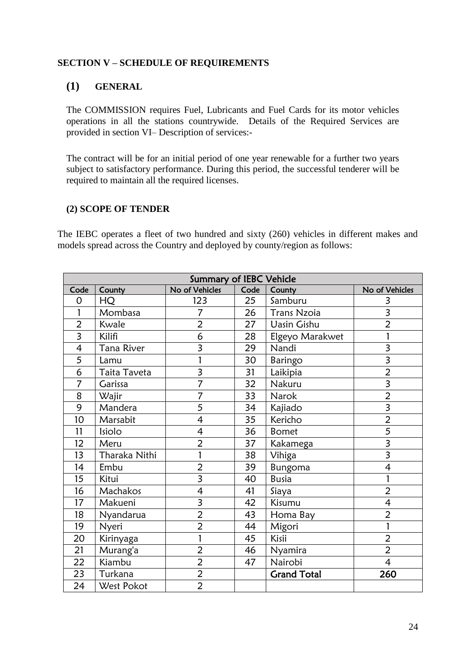### **SECTION V – SCHEDULE OF REQUIREMENTS**

# **(1) GENERAL**

The COMMISSION requires Fuel, Lubricants and Fuel Cards for its motor vehicles operations in all the stations countrywide. Details of the Required Services are provided in section VI– Description of services:-

The contract will be for an initial period of one year renewable for a further two years subject to satisfactory performance. During this period, the successful tenderer will be required to maintain all the required licenses.

### **(2) SCOPE OF TENDER**

The IEBC operates a fleet of two hundred and sixty (260) vehicles in different makes and models spread across the Country and deployed by county/region as follows:

|                          | <b>Summary of IEBC Vehicle</b> |                          |      |                    |                          |
|--------------------------|--------------------------------|--------------------------|------|--------------------|--------------------------|
| Code                     | County                         | No of Vehicles           | Code | County             | No of Vehicles           |
| $\overline{O}$           | HQ                             | 123                      | 25   | Samburu            | 3                        |
| 1                        | Mombasa                        | 7                        | 26   | <b>Trans Nzoia</b> | 3                        |
| $\overline{2}$           | Kwale                          | $\overline{2}$           | 27   | <b>Uasin Gishu</b> | $\overline{2}$           |
| $\overline{3}$           | Kilifi                         | 6                        | 28   | Elgeyo Marakwet    |                          |
| $\overline{\mathcal{L}}$ | Tana River                     | 3                        | 29   | Nandi              | 3                        |
| 5                        | Lamu                           | 1                        | 30   | Baringo            | $\overline{\mathbf{3}}$  |
| 6                        | Taita Taveta                   | 3                        | 31   | Laikipia           | $\overline{2}$           |
| 7                        | Garissa                        | 7                        | 32   | Nakuru             | 3                        |
| 8                        | Wajir                          | 7                        | 33   | Narok              | $\overline{2}$           |
| 9                        | Mandera                        | 5                        | 34   | Kajiado            | 3                        |
| 10                       | Marsabit                       | $\overline{\mathcal{L}}$ | 35   | Kericho            | $\overline{2}$           |
| 11                       | Isiolo                         | $\overline{\mathcal{L}}$ | 36   | <b>Bomet</b>       | 5                        |
| 12                       | Meru                           | $\overline{2}$           | 37   | Kakamega           | $\overline{\mathbf{3}}$  |
| 13                       | Tharaka Nithi                  | $\mathbf{1}$             | 38   | Vihiga             | 3                        |
| 14                       | Embu                           | $\overline{2}$           | 39   | Bungoma            | 4                        |
| 15                       | Kitui                          | $\overline{\mathbf{3}}$  | 40   | <b>Busia</b>       |                          |
| 16                       | Machakos                       | 4                        | 41   | Siaya              | $\overline{2}$           |
| 17                       | Makueni                        | $\overline{\mathbf{3}}$  | 42   | Kisumu             | $\overline{\mathcal{L}}$ |
| 18                       | Nyandarua                      | $\overline{2}$           | 43   | Homa Bay           | $\overline{2}$           |
| 19                       | Nyeri                          | $\overline{2}$           | 44   | Migori             |                          |
| 20                       | Kirinyaga                      | 1                        | 45   | Kisii              | $\overline{2}$           |
| 21                       | Murang'a                       | $\overline{2}$           | 46   | Nyamira            | $\overline{2}$           |
| 22                       | Kiambu                         | $\overline{c}$           | 47   | Nairobi            | $\overline{\mathcal{L}}$ |
| 23                       | Turkana                        | $\overline{2}$           |      | <b>Grand Total</b> | 260                      |
| 24                       | West Pokot                     | $\overline{2}$           |      |                    |                          |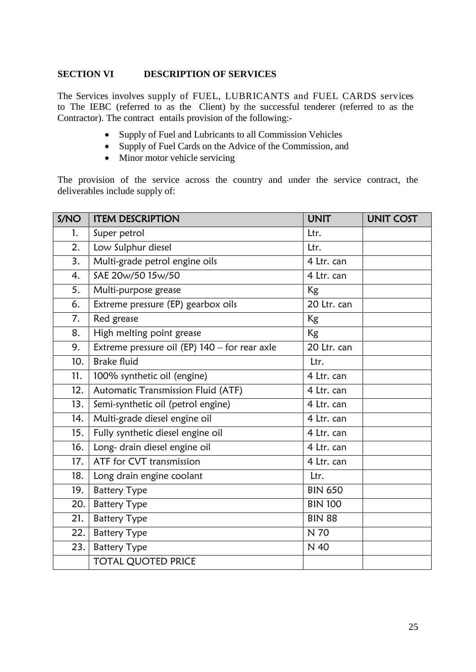### **SECTION VI DESCRIPTION OF SERVICES**

The Services involves supply of FUEL, LUBRICANTS and FUEL CARDS services to The IEBC (referred to as the Client) by the successful tenderer (referred to as the Contractor). The contract entails provision of the following:-

- Supply of Fuel and Lubricants to all Commission Vehicles
- Supply of Fuel Cards on the Advice of the Commission, and
- Minor motor vehicle servicing

The provision of the service across the country and under the service contract, the deliverables include supply of:

| S/NO | <b>ITEM DESCRIPTION</b>                       | <b>UNIT</b>    | <b>UNIT COST</b> |
|------|-----------------------------------------------|----------------|------------------|
| 1.   | Super petrol                                  | Ltr.           |                  |
| 2.   | Low Sulphur diesel                            | Ltr.           |                  |
| 3.   | Multi-grade petrol engine oils                | 4 Ltr. can     |                  |
| 4.   | SAE 20w/50 15w/50                             | 4 Ltr. can     |                  |
| 5.   | Multi-purpose grease                          | Kg             |                  |
| 6.   | Extreme pressure (EP) gearbox oils            | 20 Ltr. can    |                  |
| 7.   | Red grease                                    | Kg             |                  |
| 8.   | High melting point grease                     | Kg             |                  |
| 9.   | Extreme pressure oil (EP) 140 - for rear axle | 20 Ltr. can    |                  |
| 10.  | <b>Brake fluid</b>                            | Ltr.           |                  |
| 11.  | 100% synthetic oil (engine)                   | 4 Ltr. can     |                  |
| 12.  | Automatic Transmission Fluid (ATF)            | 4 Ltr. can     |                  |
| 13.  | Semi-synthetic oil (petrol engine)            | 4 Ltr. can     |                  |
| 14.  | Multi-grade diesel engine oil                 | 4 Ltr. can     |                  |
| 15.  | Fully synthetic diesel engine oil             | 4 Ltr. can     |                  |
| 16.  | Long- drain diesel engine oil                 | 4 Ltr. can     |                  |
| 17.  | ATF for CVT transmission                      | 4 Ltr. can     |                  |
| 18.  | Long drain engine coolant                     | Ltr.           |                  |
| 19.  | <b>Battery Type</b>                           | <b>BIN 650</b> |                  |
| 20.  | <b>Battery Type</b>                           | <b>BIN 100</b> |                  |
| 21.  | <b>Battery Type</b>                           | <b>BIN 88</b>  |                  |
| 22.  | <b>Battery Type</b>                           | N 70           |                  |
| 23.  | <b>Battery Type</b>                           | N 40           |                  |
|      | <b>TOTAL QUOTED PRICE</b>                     |                |                  |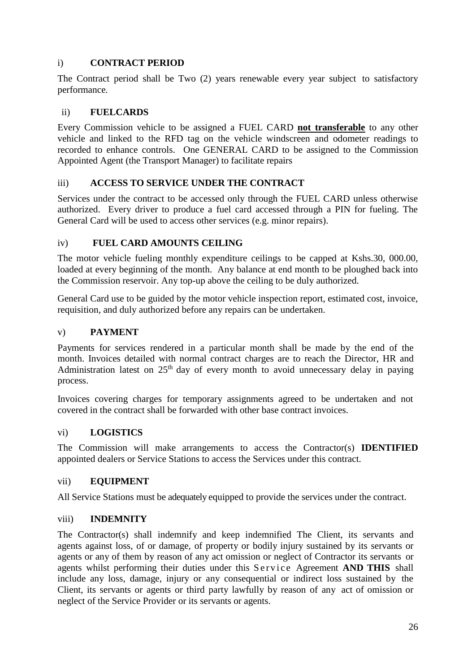# i) **CONTRACT PERIOD**

The Contract period shall be Two (2) years renewable every year subject to satisfactory performance.

# ii) **FUELCARDS**

Every Commission vehicle to be assigned a FUEL CARD **not transferable** to any other vehicle and linked to the RFD tag on the vehicle windscreen and odometer readings to recorded to enhance controls. One GENERAL CARD to be assigned to the Commission Appointed Agent (the Transport Manager) to facilitate repairs

# iii) **ACCESS TO SERVICE UNDER THE CONTRACT**

Services under the contract to be accessed only through the FUEL CARD unless otherwise authorized. Every driver to produce a fuel card accessed through a PIN for fueling. The General Card will be used to access other services (e.g. minor repairs).

# iv) **FUEL CARD AMOUNTS CEILING**

The motor vehicle fueling monthly expenditure ceilings to be capped at Kshs.30, 000.00, loaded at every beginning of the month. Any balance at end month to be ploughed back into the Commission reservoir. Any top-up above the ceiling to be duly authorized.

General Card use to be guided by the motor vehicle inspection report, estimated cost, invoice, requisition, and duly authorized before any repairs can be undertaken.

# v) **PAYMENT**

Payments for services rendered in a particular month shall be made by the end of the month. Invoices detailed with normal contract charges are to reach the Director, HR and Administration latest on  $25<sup>th</sup>$  day of every month to avoid unnecessary delay in paying process.

Invoices covering charges for temporary assignments agreed to be undertaken and not covered in the contract shall be forwarded with other base contract invoices.

# vi) **LOGISTICS**

The Commission will make arrangements to access the Contractor(s) **IDENTIFIED**  appointed dealers or Service Stations to access the Services under this contract.

# vii) **EQUIPMENT**

All Service Stations must be adequately equipped to provide the services under the contract.

# viii) **INDEMNITY**

The Contractor(s) shall indemnify and keep indemnified The Client, its servants and agents against loss, of or damage, of property or bodily injury sustained by its servants or agents or any of them by reason of any act omission or neglect of Contractor its servants or agents whilst performing their duties under this Service Agreement AND THIS shall include any loss, damage, injury or any consequential or indirect loss sustained by the Client, its servants or agents or third party lawfully by reason of any act of omission or neglect of the Service Provider or its servants or agents.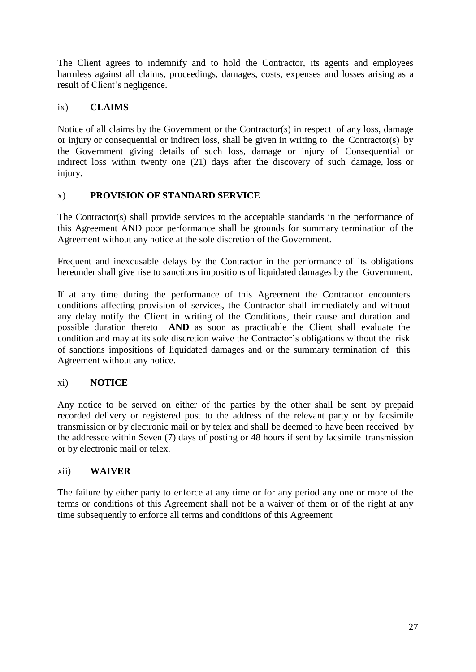The Client agrees to indemnify and to hold the Contractor, its agents and employees harmless against all claims, proceedings, damages, costs, expenses and losses arising as a result of Client's negligence.

# ix) **CLAIMS**

Notice of all claims by the Government or the Contractor(s) in respect of any loss, damage or injury or consequential or indirect loss, shall be given in writing to the Contractor(s) by the Government giving details of such loss, damage or injury of Consequential or indirect loss within twenty one (21) days after the discovery of such damage, loss or injury.

# x) **PROVISION OF STANDARD SERVICE**

The Contractor(s) shall provide services to the acceptable standards in the performance of this Agreement AND poor performance shall be grounds for summary termination of the Agreement without any notice at the sole discretion of the Government.

Frequent and inexcusable delays by the Contractor in the performance of its obligations hereunder shall give rise to sanctions impositions of liquidated damages by the Government.

If at any time during the performance of this Agreement the Contractor encounters conditions affecting provision of services, the Contractor shall immediately and without any delay notify the Client in writing of the Conditions, their cause and duration and possible duration thereto **AND** as soon as practicable the Client shall evaluate the condition and may at its sole discretion waive the Contractor's obligations without the risk of sanctions impositions of liquidated damages and or the summary termination of this Agreement without any notice.

# xi) **NOTICE**

Any notice to be served on either of the parties by the other shall be sent by prepaid recorded delivery or registered post to the address of the relevant party or by facsimile transmission or by electronic mail or by telex and shall be deemed to have been received by the addressee within Seven (7) days of posting or 48 hours if sent by facsimile transmission or by electronic mail or telex.

# xii) **WAIVER**

The failure by either party to enforce at any time or for any period any one or more of the terms or conditions of this Agreement shall not be a waiver of them or of the right at any time subsequently to enforce all terms and conditions of this Agreement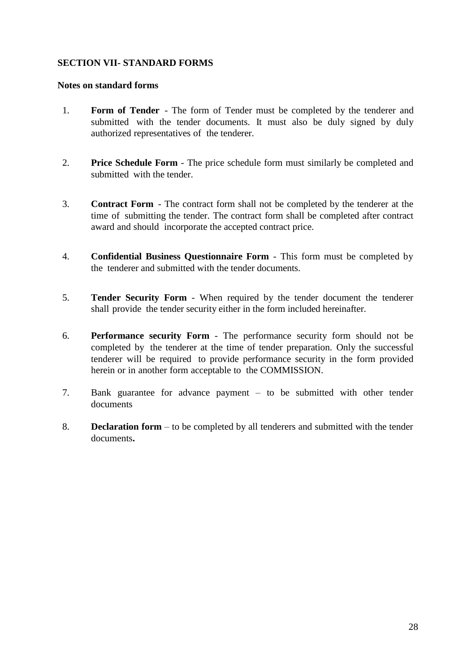### **SECTION VII- STANDARD FORMS**

#### **Notes on standard forms**

- 1. **Form of Tender** The form of Tender must be completed by the tenderer and submitted with the tender documents. It must also be duly signed by duly authorized representatives of the tenderer.
- 2. **Price Schedule Form** The price schedule form must similarly be completed and submitted with the tender.
- 3. **Contract Form** The contract form shall not be completed by the tenderer at the time of submitting the tender. The contract form shall be completed after contract award and should incorporate the accepted contract price.
- 4. **Confidential Business Questionnaire Form** This form must be completed by the tenderer and submitted with the tender documents.
- 5. **Tender Security Form** When required by the tender document the tenderer shall provide the tender security either in the form included hereinafter.
- 6. **Performance security Form** The performance security form should not be completed by the tenderer at the time of tender preparation. Only the successful tenderer will be required to provide performance security in the form provided herein or in another form acceptable to the COMMISSION.
- 7. Bank guarantee for advance payment to be submitted with other tender documents
- 8. **Declaration form** to be completed by all tenderers and submitted with the tender documents**.**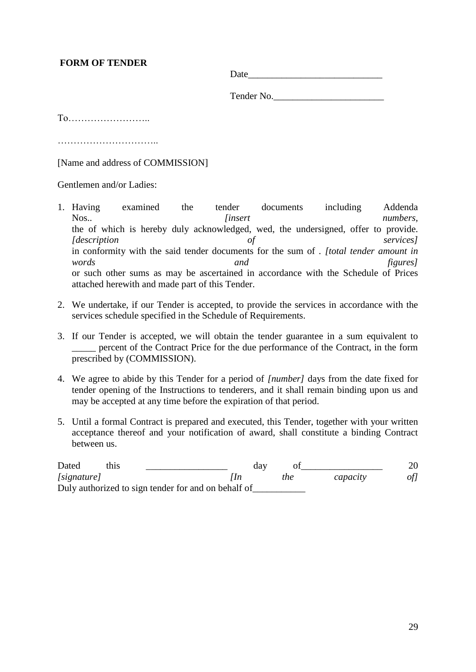# **FORM OF TENDER**

Date\_\_\_\_\_\_\_\_\_\_\_\_\_\_\_\_\_\_\_\_\_\_\_\_\_\_\_\_

Tender No.

To……………………..

…………………………..

[Name and address of COMMISSION]

Gentlemen and/or Ladies:

- 1. Having examined the tender documents including Addenda Nos.. *linsert insert numbers,* the of which is hereby duly acknowledged, wed, the undersigned, offer to provide. *[description of services]* in conformity with the said tender documents for the sum of . *[total tender amount in words and figures]*  or such other sums as may be ascertained in accordance with the Schedule of Prices attached herewith and made part of this Tender.
- 2. We undertake, if our Tender is accepted, to provide the services in accordance with the services schedule specified in the Schedule of Requirements.
- 3. If our Tender is accepted, we will obtain the tender guarantee in a sum equivalent to \_\_\_\_\_ percent of the Contract Price for the due performance of the Contract, in the form prescribed by (COMMISSION).
- 4. We agree to abide by this Tender for a period of *[number]* days from the date fixed for tender opening of the Instructions to tenderers, and it shall remain binding upon us and may be accepted at any time before the expiration of that period.
- 5. Until a formal Contract is prepared and executed, this Tender, together with your written acceptance thereof and your notification of award, shall constitute a binding Contract between us.

| Dated       | this. |                                                     | dav |     |          |     |
|-------------|-------|-----------------------------------------------------|-----|-----|----------|-----|
| [signature] |       |                                                     |     | the | capacity | of] |
|             |       | Duly authorized to sign tender for and on behalf of |     |     |          |     |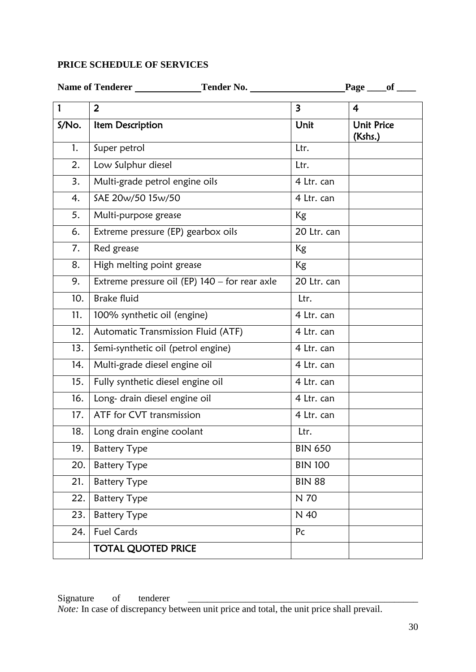# **PRICE SCHEDULE OF SERVICES**

|       | Name of Tenderer<br>Tender No.                | $Page \_\_ of \_\_$     |                              |  |
|-------|-----------------------------------------------|-------------------------|------------------------------|--|
| 1     | $\overline{2}$                                | $\overline{\mathbf{3}}$ | 4                            |  |
| S/No. | Item Description                              | Unit                    | <b>Unit Price</b><br>(Kshs.) |  |
| 1.    | Super petrol                                  | Ltr.                    |                              |  |
| 2.    | Low Sulphur diesel                            | Ltr.                    |                              |  |
| 3.    | Multi-grade petrol engine oils                | 4 Ltr. can              |                              |  |
| 4.    | SAE 20w/50 15w/50                             | 4 Ltr. can              |                              |  |
| 5.    | Multi-purpose grease                          | <b>Kg</b>               |                              |  |
| 6.    | Extreme pressure (EP) gearbox oils            | 20 Ltr. can             |                              |  |
| 7.    | Red grease                                    | Kg                      |                              |  |
| 8.    | High melting point grease                     | <b>Kg</b>               |                              |  |
| 9.    | Extreme pressure oil (EP) 140 - for rear axle | 20 Ltr. can             |                              |  |
| 10.   | <b>Brake fluid</b>                            | Ltr.                    |                              |  |
| 11.   | 100% synthetic oil (engine)                   | 4 Ltr. can              |                              |  |
| 12.   | Automatic Transmission Fluid (ATF)            | 4 Ltr. can              |                              |  |
| 13.   | Semi-synthetic oil (petrol engine)            | 4 Ltr. can              |                              |  |
| 14.   | Multi-grade diesel engine oil                 | 4 Ltr. can              |                              |  |
| 15.   | Fully synthetic diesel engine oil             | 4 Ltr. can              |                              |  |
| 16.   | Long- drain diesel engine oil                 | 4 Ltr. can              |                              |  |
| 17.   | ATF for CVT transmission                      | 4 Ltr. can              |                              |  |
| 18.   | Long drain engine coolant                     | Ltr.                    |                              |  |
| 19.   | <b>Battery Type</b>                           | <b>BIN 650</b>          |                              |  |
| 20.   | <b>Battery Type</b>                           | <b>BIN 100</b>          |                              |  |
| 21.   | <b>Battery Type</b>                           | <b>BIN 88</b>           |                              |  |
| 22.   | <b>Battery Type</b>                           | N 70                    |                              |  |
| 23.   | <b>Battery Type</b>                           | N 40                    |                              |  |
| 24.   | <b>Fuel Cards</b>                             | Pc                      |                              |  |
|       | <b>TOTAL QUOTED PRICE</b>                     |                         |                              |  |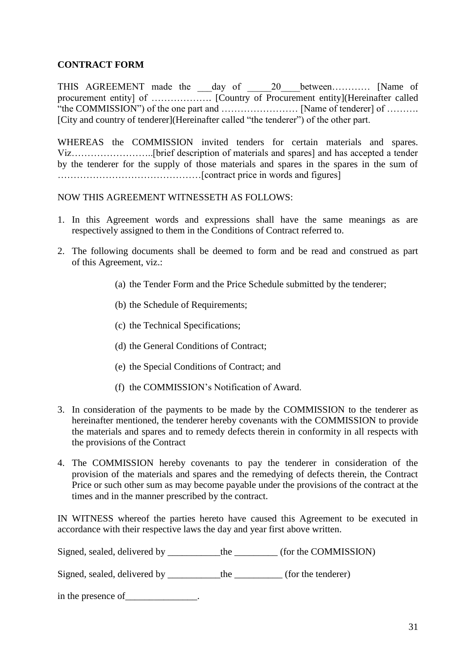# **CONTRACT FORM**

THIS AGREEMENT made the \_\_\_day of \_\_\_\_\_20\_\_\_\_between………… [Name of procurement entity] of ………………. [Country of Procurement entity](Hereinafter called "the COMMISSION") of the one part and …………………… [Name of tenderer] of ………. [City and country of tenderer](Hereinafter called "the tenderer") of the other part.

WHEREAS the COMMISSION invited tenders for certain materials and spares. Viz……………………..[brief description of materials and spares] and has accepted a tender by the tenderer for the supply of those materials and spares in the spares in the sum of ………………………………………[contract price in words and figures]

### NOW THIS AGREEMENT WITNESSETH AS FOLLOWS:

- 1. In this Agreement words and expressions shall have the same meanings as are respectively assigned to them in the Conditions of Contract referred to.
- 2. The following documents shall be deemed to form and be read and construed as part of this Agreement, viz.:
	- (a) the Tender Form and the Price Schedule submitted by the tenderer;
	- (b) the Schedule of Requirements;
	- (c) the Technical Specifications;
	- (d) the General Conditions of Contract;
	- (e) the Special Conditions of Contract; and
	- (f) the COMMISSION's Notification of Award.
- 3. In consideration of the payments to be made by the COMMISSION to the tenderer as hereinafter mentioned, the tenderer hereby covenants with the COMMISSION to provide the materials and spares and to remedy defects therein in conformity in all respects with the provisions of the Contract
- 4. The COMMISSION hereby covenants to pay the tenderer in consideration of the provision of the materials and spares and the remedying of defects therein, the Contract Price or such other sum as may become payable under the provisions of the contract at the times and in the manner prescribed by the contract.

IN WITNESS whereof the parties hereto have caused this Agreement to be executed in accordance with their respective laws the day and year first above written.

Signed, sealed, delivered by \_\_\_\_\_\_\_\_\_\_the \_\_\_\_\_\_\_\_\_\_ (for the COMMISSION)

Signed, sealed, delivered by \_\_\_\_\_\_\_\_\_\_\_the \_\_\_\_\_\_\_\_\_\_\_(for the tenderer)

in the presence of \_\_\_\_\_\_\_\_\_\_\_\_\_.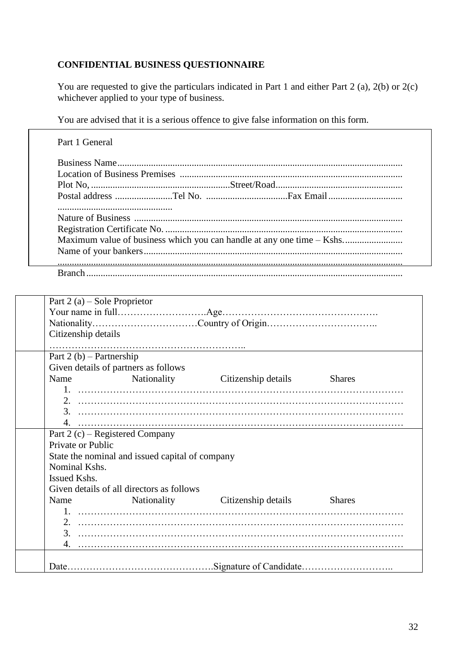# **CONFIDENTIAL BUSINESS QUESTIONNAIRE**

You are requested to give the particulars indicated in Part 1 and either Part 2 (a), 2(b) or 2(c) whichever applied to your type of business.

You are advised that it is a serious offence to give false information on this form.

|  | Maximum value of business which you can handle at any one time – Kshs |
|--|-----------------------------------------------------------------------|
|  |                                                                       |
|  |                                                                       |

|                   | Part $2(a)$ – Sole Proprietor                   |                                 |               |  |  |  |  |  |  |  |
|-------------------|-------------------------------------------------|---------------------------------|---------------|--|--|--|--|--|--|--|
|                   |                                                 |                                 |               |  |  |  |  |  |  |  |
|                   |                                                 |                                 |               |  |  |  |  |  |  |  |
|                   | Citizenship details                             |                                 |               |  |  |  |  |  |  |  |
|                   |                                                 |                                 |               |  |  |  |  |  |  |  |
|                   | Part $2(b)$ – Partnership                       |                                 |               |  |  |  |  |  |  |  |
|                   | Given details of partners as follows            |                                 |               |  |  |  |  |  |  |  |
| Name              |                                                 | Nationality Citizenship details | <b>Shares</b> |  |  |  |  |  |  |  |
|                   |                                                 |                                 |               |  |  |  |  |  |  |  |
|                   |                                                 |                                 |               |  |  |  |  |  |  |  |
|                   |                                                 |                                 |               |  |  |  |  |  |  |  |
|                   |                                                 |                                 |               |  |  |  |  |  |  |  |
|                   | Part 2 $(c)$ – Registered Company               |                                 |               |  |  |  |  |  |  |  |
| Private or Public |                                                 |                                 |               |  |  |  |  |  |  |  |
|                   | State the nominal and issued capital of company |                                 |               |  |  |  |  |  |  |  |
| Nominal Kshs.     |                                                 |                                 |               |  |  |  |  |  |  |  |
| Issued Kshs.      |                                                 |                                 |               |  |  |  |  |  |  |  |
|                   | Given details of all directors as follows       |                                 |               |  |  |  |  |  |  |  |
| Name              |                                                 | Nationality Citizenship details | <b>Shares</b> |  |  |  |  |  |  |  |
|                   |                                                 |                                 |               |  |  |  |  |  |  |  |
|                   |                                                 |                                 |               |  |  |  |  |  |  |  |
|                   |                                                 |                                 |               |  |  |  |  |  |  |  |
| 4.                |                                                 |                                 |               |  |  |  |  |  |  |  |
|                   |                                                 |                                 |               |  |  |  |  |  |  |  |
|                   |                                                 |                                 |               |  |  |  |  |  |  |  |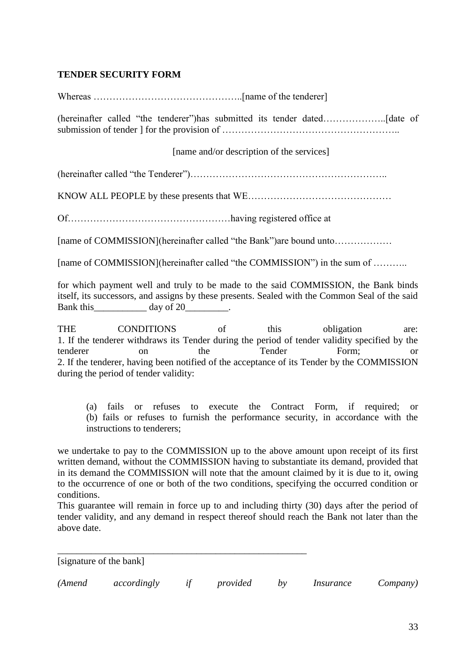# **TENDER SECURITY FORM**

Whereas ………………………………………..[name of the tenderer] (hereinafter called "the tenderer")has submitted its tender dated………………..[date of submission of tender ] for the provision of ……………………………………………….. [name and/or description of the services] (hereinafter called "the Tenderer")…………………………………………………….. KNOW ALL PEOPLE by these presents that WE……………………………………… Of……………………………………………having registered office at [name of COMMISSION](hereinafter called "the Bank")are bound unto……………… [name of COMMISSION](hereinafter called "the COMMISSION") in the sum of ........... for which payment well and truly to be made to the said COMMISSION, the Bank binds itself, its successors, and assigns by these presents. Sealed with the Common Seal of the said Bank this\_\_\_\_\_\_\_\_\_\_\_\_\_ day of 20\_\_\_\_\_\_\_\_\_. THE CONDITIONS of this obligation are: 1. If the tenderer withdraws its Tender during the period of tender validity specified by the

tenderer on the Tender Form; or 2. If the tenderer, having been notified of the acceptance of its Tender by the COMMISSION during the period of tender validity:

(a) fails or refuses to execute the Contract Form, if required; or (b) fails or refuses to furnish the performance security, in accordance with the instructions to tenderers;

we undertake to pay to the COMMISSION up to the above amount upon receipt of its first written demand, without the COMMISSION having to substantiate its demand, provided that in its demand the COMMISSION will note that the amount claimed by it is due to it, owing to the occurrence of one or both of the two conditions, specifying the occurred condition or conditions.

This guarantee will remain in force up to and including thirty (30) days after the period of tender validity, and any demand in respect thereof should reach the Bank not later than the above date.

[signature of the bank]

| (Amend | accordingly |  | provided |  | <i>Insurance</i> | <i>Company</i> ) |
|--------|-------------|--|----------|--|------------------|------------------|
|--------|-------------|--|----------|--|------------------|------------------|

\_\_\_\_\_\_\_\_\_\_\_\_\_\_\_\_\_\_\_\_\_\_\_\_\_\_\_\_\_\_\_\_\_\_\_\_\_\_\_\_\_\_\_\_\_\_\_\_\_\_\_\_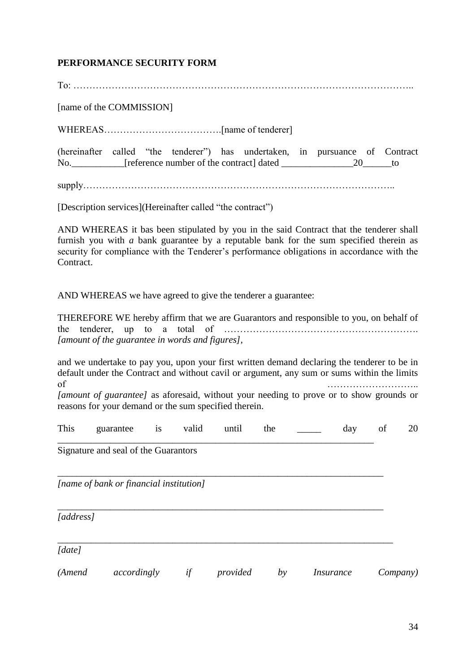# **PERFORMANCE SECURITY FORM**

To: …………………………………………………………………………………………….. [name of the COMMISSION] WHEREAS……………………………….[name of tenderer] (hereinafter called "the tenderer") has undertaken, in pursuance of Contract No. Freference number of the contract] dated 20 to supply……………………………………………………………………………………..

[Description services](Hereinafter called "the contract")

AND WHEREAS it bas been stipulated by you in the said Contract that the tenderer shall furnish you with *a* bank guarantee by a reputable bank for the sum specified therein as security for compliance with the Tenderer's performance obligations in accordance with the Contract.

AND WHEREAS we have agreed to give the tenderer a guarantee:

THEREFORE WE hereby affirm that we are Guarantors and responsible to you, on behalf of the tenderer, up to a total of ……………………………………………………. *[amount of the guarantee in words and figures],*

and we undertake to pay you, upon your first written demand declaring the tenderer to be in default under the Contract and without cavil or argument, any sum or sums within the limits of the contract of the contract of the contract of the contract of the contract of the contract of the contract of the contract of the contract of the contract of the contract of the contract of the contract of the contrac

*[amount of guarantee]* as aforesaid, without your needing to prove or to show grounds or reasons for your demand or the sum specified therein.

This guarantee is valid until the \_\_\_\_\_ day of 20

\_\_\_\_\_\_\_\_\_\_\_\_\_\_\_\_\_\_\_\_\_\_\_\_\_\_\_\_\_\_\_\_\_\_\_\_\_\_\_\_\_\_\_\_\_\_\_\_\_\_\_\_\_\_\_\_\_\_\_\_\_\_\_\_\_\_

\_\_\_\_\_\_\_\_\_\_\_\_\_\_\_\_\_\_\_\_\_\_\_\_\_\_\_\_\_\_\_\_\_\_\_\_\_\_\_\_\_\_\_\_\_\_\_\_\_\_\_\_\_\_\_\_\_\_\_\_\_\_\_\_\_\_\_\_

*\_\_\_\_\_\_\_\_\_\_\_\_\_\_\_\_\_\_\_\_\_\_\_\_\_\_\_\_\_\_\_\_\_\_\_\_\_\_\_\_\_\_\_\_\_\_\_\_\_\_\_\_\_\_\_\_\_\_\_\_\_\_\_\_\_\_\_\_*

*\_\_\_\_\_\_\_\_\_\_\_\_\_\_\_\_\_\_\_\_\_\_\_\_\_\_\_\_\_\_\_\_\_\_\_\_\_\_\_\_\_\_\_\_\_\_\_\_\_\_\_\_\_\_\_\_\_\_\_\_\_\_\_\_\_\_\_\_\_\_*

Signature and seal of the Guarantors

*[name of bank or financial institution]* 

*[address]* 

*[date]* 

*(Amend accordingly if provided by Insurance Company)*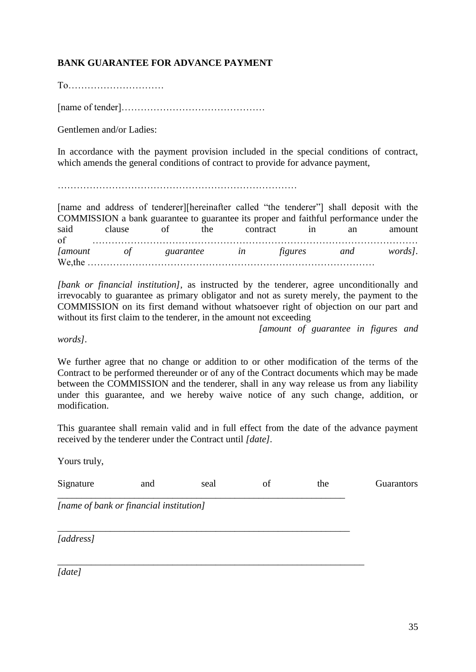# **BANK GUARANTEE FOR ADVANCE PAYMENT**

To…………………………

[name of tender]………………………………………

Gentlemen and/or Ladies:

In accordance with the payment provision included in the special conditions of contract, which amends the general conditions of contract to provide for advance payment,

…………………………………………………………………

[name and address of tenderer][hereinafter called "the tenderer"] shall deposit with the COMMISSION a bank guarantee to guarantee its proper and faithful performance under the said clause of the contract in an amount of ………………………………………………………………………………………… *[amount of guarantee in figures and words].*  We,the ………………………………………………………………………………

*[bank or financial institution],* as instructed by the tenderer, agree unconditionally and irrevocably to guarantee as primary obligator and not as surety merely, the payment to the COMMISSION on its first demand without whatsoever right of objection on our part and without its first claim to the tenderer, in the amount not exceeding

*[amount of guarantee in figures and* 

*words].* 

We further agree that no change or addition to or other modification of the terms of the Contract to be performed thereunder or of any of the Contract documents which may be made between the COMMISSION and the tenderer, shall in any way release us from any liability under this guarantee, and we hereby waive notice of any such change, addition, or modification.

This guarantee shall remain valid and in full effect from the date of the advance payment received by the tenderer under the Contract until *[date].* 

Yours truly,

| Signature                               | and | seal | of | the | Guarantors |
|-----------------------------------------|-----|------|----|-----|------------|
| [name of bank or financial institution] |     |      |    |     |            |
| [address]                               |     |      |    |     |            |
| $\lceil date \rceil$                    |     |      |    |     |            |